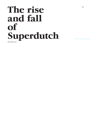# **The rise and fall of Superdutch** Ole Bouman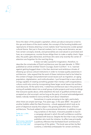

Since the dawn of the people's capitalism, where just about everyone is tied to the ups and downs of the stock market, the concept of the bursting bubble and rapid plume of shares attaining 'a more realistic level' has become a wide-spread cultural theme. Not just in financial markets, but in many social domains, we see how certain concepts, brands, and personalities are overvalued or promoted and how, as a consequence, counter-forces oblige them to make a reality check. Hype dies, the public gets distracted, and those who were only recently the center of attention are forgotten for the next big thing.

It does not take a powerful imagination, therefore, to describe the vicissitudes of Dutch architecture over the past decade. In 1994 I published an article entitled 'Dutch Courage, Dutch Comfort'.1 In it, I warned against getting bogged down in the then dominant and ambitious climate of dressing up various cultural institutions in order to increase quality awareness in architecture. I also argued that the work of these institutions had to be linked to the context of larger and predominant social issues such as migration, an aging population, digitalization, and multiculturalism. I put forward that a new cultural energy capable of creating something greater than merely a self-congratulatory culture could only come by incorporating these larger social issues into architectural discourse. At the same time, I noted how architecture was in the practice of zoning all available talent into a small group of pilot projects and iconic buildings that everyone spoke about, while elsewhere the lack of qualified architects was accepted as a fait accompli; and as long as the party of mutual acknowledgement lasted, nobody needed to worry terribly much about 'elsewhere'.

Sometimes it is quite annoying to be right, particularly when there are ample warnings. Five years ago, in the year 2000 – the peak of another bubble called the New Economy – a book appeared which took as its point of departure exactly this subject: the growing self-affirmation of Dutch architecture. The book added to this a promotional dimension. In addition to pat-

1 *Archis*, No. 4, 1994, pp. 44–51.

2 Bart Lootsma, *Superdutch*, Princeton Architectural Press, New York, 2000.

ting ourselves on the back, it became possible to launch a campaign abroad in which this self-confidence could be expressed with bravura. Despite the fact that it was a foreign publisher who took the initiative, its effect was principally a publicity offensive that facilitated Dutch architecture's conquering of the globe.<sup>2</sup> The book was written by Bart Lootsma, a relentless ambassador for certain architects,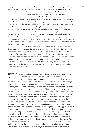who gave perfect expression to the essence of the bubble by being unable to resist the temptation of the bubble title Superdutch. A superlative title for an entire culture, justified by the work of twelve architects within his orbit.

The influence this book and its title had and continue to have can hardly be overestimated. Dutch architects and Lootsma, a gifted speaker and tireless traveler, circled the globe and one way or another confirmed the myth. After Rem Koolhaas had come a generation busting with conceptual intelligence and blessed with a liberal, modern talent for design. As true Dutchmen they were also always quite willing to find the perfect compromise. This package is the perfect example of a successful publicity campaign: reduce your national architecture to the sum of a few talented designers, have someone summarize their work who is prepared to invest more than a little intelligence into their promotion, think up a cheeky title, and then do everything possible to get your message out: more publications, lectures, exhibitions, marketing campaigns, etc. An unparalleled success and the only question remaining is: what's the rest of the world been up to?

Well, the rest of the world has, at its best, been largely dominated by a consumer-driven neo-traditionalism which hates the hip concept architecture of the Superdutch gang. At its worst, it has seen a total dearth of any idea of style or design at all and given itself over to a jungle of outbidding, competing and isolated real estate in a privatized universe. This universe permits nothing to be super, only ordinary and predictable and human, all-too-human. This, however, is not news, of course. Neither is the way in which people who make a living in this sector sometimes express their resentment towards 'elitism'. Exit super. Back to normal.

What is perhaps news is that in that other universe the Dutch factor **Dutch factor** is also fading. While the government and its independent policy instruments were busy promoting a design culture described as 'typically' Dutch, diverse forces were at work seriously fiddling with what was typically Dutch. By this I do not necessarily mean forces such as 'globalization' or 'Europe', although these embody a dynamic in which the Netherlands is increasingly subsumed within larger conglomerates. There has also been a loss of sovereignty, global economic interdependence, cultural marginalization, a more ethnically mixed population (with the consequent effect upon Dutch identity) and other forms of historical identity loss. Yet in the context of this article, what was more important was that the state itself was playing an growing role in the undermining of its own historical mission. In the Netherlands the armed forces have become emergency services for supranational intervention; the educational system has shifted from teaching specific knowledge to developing general skills; English is rapidly becoming the language in which students are taught; national utilities such as public transport, telecom services, energy supplies and cable networks, have been privatized and/or majority holdings have been sold off. For this article what is of particular importance is the privatization of public housing and the shift towards providing buildings for administrative or other public functions simply by renting office space. The loss of these two exceptionally powerful policy instruments, the one quantitative and the other qualitative, to promote architectonic quality has had direct, physical consequences. It has seriously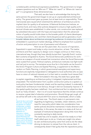

That said, we also have to acknowledge that during this same period, the government began to set up an unprecedented architectural policy. The government gave up power, but at least took on responsibility. Three memoranda were issued which stretched the definition of architecture and its implied claim for quality to all extremes. A National Architecture Institute, an incentive fund, and many other policies designed to ensure a high-quality architectural climate were established. In other words, civic construction was replaced by subsidized discussion with the hope and expectation that this advanced notion of quality would trickle down to the broader public of clients (developers, housing corporations, etc.) and their clients (buyers) as well as generate a much broader debate about architecture amongst lay audiences. A construction policy, embedded in a paramount market ideology, shifted its emphasis from a position of action and prescription to one of persuasion and influence.

Here we are five years later. As a source of inspiration, Superdutch is spent and today is only a tourist attraction, at best. The twelve architects and their capacity to design iconic images continue on their merry, international way, though they have silently buried their 'typically Dutch' routine. Bart Lootsma emigrated to Austria. The Social Democratic preference for architecture as a weapon of social renewal lost momentum when the Social Democrats were ousted from power. Political orphans, architecture institutes now fight tooth and nail just to survive. The tentative score thus far in this battle can be found in the Action Program Culture and Spatial Planning, a supplement to the Memorandum on Public Planning, in which governmental exemplary and supervisory functions are explicitly marginalized or delegated to local authorities who eo ipso have no vision of national interests as it is their task to consider local interest first.<sup>3</sup>

<u>. . . . . . . . . . .</u>

. . . . . . . . . . .

When formulated in this way, the state has a great deal to explain regarding an architecture policy it instigated, implemented and then amputated. The transformation from a public construction policy to a spatial cultural policy has been fundamental, drastic and far-reaching indeed. It undeniably made Dutch architecture more famous, though it did not necessarily improve it. If the spatial quality has been redefined - from architectural fact to subjective idea (such as 'lively climate') - then it is of crucial importance that this climate continue to receive a great deal of attention and promotion. Should things get rough, all we will be left with is the cultural shift from actor to cheerleader, which is really

3 Tjeerd de Boer and André Mol (eds), *Actieprogramma Ruimte en Cultuur. Architectuur- en Belvederebeleid 2005–2008*. Published by the Ministries of: Education, Culture and Science; Housing, Spatial Planning and Environment; Agriculture, Nature and Food Quality; Infrastructure; Economic Affairs; Defence; Foreign Affairs.

all we have now. The Dutch state is in permanent crisis regarding its legitimacy, mandate, citizen relations, and its need for new policy which takes into consideration how earlier policies should be maintained. It lacks direction and leadership. In this sense, the state is no state at all, but an example of institutional desperation doing little more than constantly reacting to daily trends.

The state has a lot to explain, should it be ready to or feel itself called upon to do so. It lacks any insight into where its own architectural policy came from and so do the ideas driving its decision to retreat from the role as client. It consequently doesn't feel guilty that the reparations policy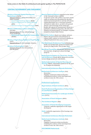## Some actors in the field of architectural and spatial quality in The Netherlands

## CENTRAL GOVERNMENT AND PARLIAMENT

- Ministry of Housing, Spatial Planning and Environment (VROM) National Architect, advisor for architecture (Mels Crouwel)
	- **Government Buildings Agency (RGD)** — National Department for Spatial Planning (RPD)
	- National Institute for Spatial Research (RPB)
- Ministry of Education, Culture and Science (OCenW) National advisor for the cultural heritage (Fons Asselbergs) — Netherlands Department for Conservation

(RDMZ)

Ministry of Agriculture, Nature and Food Quality (LNV) National advisor for the landscape (Simons)

Ministry of Infrastructure (V&W) National advisor for the infrastructure (Jan Brouwer)

Board of National Advisors stationed in the Atelier of the National Architect (ARBM) It operates in the wake of three successive memoranda on architecture (formulated by the four ministries mentioned above) and the call (memorandum Belvedere) for a conscious treatment of historical values above, on and in the ground (history and archeology of the landscape). Besides the appeal on (institutional) clients for a qualitative commissioning policy, the state also initiated 10 'grand projects' as examples of quality treatment of some major themes.

uncil for Culture (Raad voor Cultuur; advisory body to the government and parliament on culture policy; advises on structural subsidies to cultural institutions once every 4 years)

The Netherlands Architecture Fund (Stimuleringsfonds voor Architectuur; grants for architecture projects by legal bodies, also foreign ones)

Mondriaan Foundation (Mondriaan Stichting; grants for visual arts, design and cultural heritage projects)

Netherlands Foundation for Visual Arts, Design and Architecture (Fonds BKVB; grants for art/architecture/design projects by individuals)

Netherlands Institute of Spatial Planning and Housing (NIROV; independent platform for the qual ity of spatial development)

International Architecture Biennale Rotterdam

**Jetherlands Architecture Insti<del>tute</del> (NAI)** Rotterdam Flagship of national architectural policy including the archives of the most important architects since the 19th century

Professional organisations

Royal Institute of Dutch Architects (BNA)

Dutch Professional Organization of Urban Designers and Planners (BNSP)

Netherlands Association for Landscape Architecture (NVTL)

Association of Dutch Designers (BNO)

The Architects Register (SBA)

**Association of Dutch Developing Companies** (Neprom; umbrella organization of the larger developers)

Aedes (umbrella organization of the housing corporations)

International Architecture Biennale Rotterdam

Netherlands Architecture Institute (NAI) Rotterdam Flagship of national architectural policy including the archives of the most important architects since the 19th century

DOCOMOMO Netherlands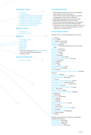## Architecture schools

- TU Delft
- TU Eindhoven
- Academy of Architecture Amsterdam
- Academy of Architecture Rotterdam
- Academy of Architecture Groningen
- Academy of Architecture Arnhem
- Academy of Architecture Tilburg
- Academy of Architecture Maastricht
- Berlage Institute (post doc)

### Websites / portals

- Archined.nl
- Architectenwerk.nl

#### **Magazines**

- De Architect (NL)
- Oase (NL+E)
	- Hunch (E)
	- Volume (E)
	- Bouw (NL) — S&RO (NL)
	- Mark (E)
	-
	- National newspapers like NRC Handelsblad with several specialized journalists
- And many more…

## International think tanks

— Archis Foundation

## Local / Regional bodies

- Municipalities (much power has been delegated from national to local authority)
- District Water Boards (waterschappen; regional management of water levels, dykes etc)
- Spatial planning department of each province
- Archeology department of each province
- Nature conservation department of each province
- Amsterdam Council for Urban Planning (ARS)
- Architecture Local (Architectuur Lokaal; advice and expertise for clients and municipalities on the local level) www.arch-lokaal.nl

## Local architecture centers

(united in OLA, an informal platform since 1993)

AIA, Alkmaar CASLA, Almere CAS, Alphen aan den Rijn De Zonnehof, Amersfoort ARCAM, Amsterdam Zuiderkerk, (Municipal information center) Amsterdam Bouwhuis, Apeldoorn Arnhem Casa, Arnhem Gebouw F, Breda Delft Design, Delft Stroom, Den Haag Stichting Triade, Den Helder Architectuurcentrum Rondeel, Deventer De Stad, Dordrecht ACE, Eindhoven GRAP, Gouda Drenthe, Assen Projectwinkel Grave, Grave Platform Gras, Groningen ABC, Haarlem Podium voor Achitectuur Haarlemmermeer, Haarlemmermeer Viruvianum, Heerlen Architectuur-café Helmond, Helmond Museum Hilversum, Hilversum ACH, Hoorn Tuinarchitectuurpark Makeblijde, Houten Vereniging Haerlem, Kennemerland Fries Architectuur Centrum, Leeuwarden Stichting ALS, Lelystad Stichting Architectuur Leusden, Leusden Topos, Maastricht Museum Nagele, Nagele Architectuur Centrum Nijmegen, Nijmegen RAP, Rijnland AIR, Rotterdam Archicenter, Rotterdam CAST, Tilburg ACT, Enschede Aorta, Utrecht Utrechts Architectencafé, Utrecht APVEO, Venlo Ahoi, Wageningen Stichting Architectuurlijk Weert, Weert Bale, Zaandam Het Zeeuws Gezicht, Middelburg RiAI, Eefde/Zutphen ZAP, Zwolle

Publishers specialised in architecture, landscape, urbanism and interior: 010 Publishers, Rotterdam NAI Publishers, Rotterdam Uitgeverij Thoth, Bussum Episode Publishers, Rotterdam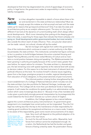developed at that time has degenerated into a kind of appendage of economic policy. In legal terms: the government cedes its responsibility in order to keep its liability manageable.

Is it then altogether impossible to sketch a future where there is fervor and excitement in the state-architecture relationship? Must we simply accept this malaise as a fait accompli and wait until the state wakes up for reasons that go beyond architecture? Only if we take the state and its architecture policy as our analytic reference point. The story is in fact quite different if we look at the dynamics of current building itself, which always reflect social developments. Much more interesting than poking at the sleeping giant that is the state, is searching for those signs that indicate that there's already a lot going on. Small developments within governmental bodies, but most certainly also outside the direct reach of state influence. Then, one peculiar observation can be made: natural, not cultural, climate will tip the scales! **New spirit**

But let me begin with signals from within the government. One of the institutions which continues to assert a certain authority is the Rijksbouwmeester, the state architect. This institutional, somewhat lost figure continues to be in a position to build bridges between the action-oriented Housing and Spatial Planning Ministry and the more verbal Ministry of Culture and so maintains a crucial position between doing and speaking. The Rijksbouwmeester has been growing in authority principally because of the current need, greater than ever before, for expert advice for ministers. The state architect is, dramatically put, the last remaining voice with spatial expertise at the national level with access to decision makers. For this reason he is the best instrument of relevant (and not political) influence at this level. He involves himself in diverse issues regarding space from a few large, prestigious projects to smaller, regional developments, from education of future designers, to the preservationists of past monuments.

This informal position is being further strengthened by the recent establishment of a College of National Advisors which includes not only the state architect, but also portfolios for National Heritage, Landscape, and Infrastructure. This College will do more than just distribute funds or lead large projects. It will create the conditions for spatial quality in an administrative configuration which cares increasingly less about it.4 Because it has a free mandate (and is also given a particularly strongly personal interpretation by its protagonists) this could indeed be the force which reverses our current culture of neglect.

In addition, the College appears to be a natural defense against the current architecture policy instrumentarium. Its government-given assignment is to investigate how current policy can be invigorated. Thus the College has nothing less than the key to the maintenance of state responsibility for creating good conditions for exceptional architecture on a macro-scale. It seems to be aware of this responsibility, given some recent announcements of its objec-

4 See for instance the Agenda 2005 of the College of National Advisors published as *College van Rijksadviseurs, Agenda 2005*, The Hague, April 2005.

tives. Very much will depend on the political adoption of its plans in the near future.

So much for the soft forces from within. Meanwhile, hard forces from without cannot be emphasized enough. As a nation, the Netherlands has had the burden and great fortune of being united by water. No postmodern theory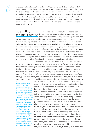

is capable of explaining this fact away. Water is ultimately the only factor that must be continually defied and that has always played a specific role in the Dutch Deltaland. Water is the only force capable of causing crises now and again, something every nation needs in order to fight lethargy. Constantly threatened by water, the Netherlands has this very threat to thank for its existence. Without this enemy the Netherlands would have slowly gone under a long time ago. On water, against water, with water – it is the heart of the national ideal. Water, accursed enemy, will save us.

## **Identify,**

As far as water is concerned, New Orleans' lashing by hurricane Katrina is a splendid example. During **unite, engage** by hurricane Katrina is a splendid example. During<br>the weeks after the flooding American journalists and

policy makers alike came to look at the Deltawerken and conduct research into Dutch flood preparations.<sup>5</sup> It is almost an autoreflex. When other nations suffer deluges, they naturally turn to a nation that sits below sea level and is capable of becoming a world power and one whose engineering enjoys global recognition. Isn't the Netherlands the country famous for its hydro-engineering works, its unity against the rising waters, and social pacification through the poldermodel after all? For a moment everyone forgot about the political murders, burning mosques and deported illegal aliens which had so recently been linked with the Netherlands. An image of ourselves found in old, post-war newsreels was rekindled.

Just as the New Orleans disaster might herald a reversal in American anti-federal sentiment and offer a wake up call for a society which has forgotten the meaning of collective responsibility, a similar reality check in the Netherlands itself is equally conceivable. In a country buried under contradictory rules, assumptions, and an excess of policy, perhaps a single disaster is not even sufficient. The 1996 floods, the Srebrenica massacre, the construction fraud affair, police corruption, the cancellation of public works after years of discussion even after construction had begun – one wonders to what degree these scandals

5

Evidence of the Dutch concern about water management is to be found in the activities of the Crown Prince himself. Prince Willem-Alexander has been an advocate domestically and internationally; he is Chairman of the Integrated Water Research Management Commission in the Netherlands and patron of the Global Water Partnership. Even though Dutch experts are called to disaster areas around the globe as consultants, Holland's own water issues require constant scrutiny. NL struggles with a rising sea level, sinking land levels, seasonal water shortage and water excess, all having huge spatial impacts.

and disasters have really shaken the nation awake. Perhaps we should be happy that we still have more alarm bells that are about to ring: the un-remunerative development of high-speed train lines, the total rigidity of the housing market, the consequences of decentralization according to the Public Planning Memorandum, the everlasting inviolability of the mortgage tax deduction, the exodus of pensioners to warmer climes, and following segregation, the immigrant population explosion. There are more than enough alarm clocks ticking, ready to wake us up at any moment. Of course, this all sounds cynical. The nation can determine that this all does not have to lead to the ultimate crisis. With the right combination of leadership and sense of urgency, there is still something that can be done. If this is so, then, as so often before in history, architecture will play an important role. Design remains the instrument for largescale order, restoration of the economy, and the recovery of self-awareness. As it was then, so shall it be again. In fact, since there is so much to do, it can begin immediately.